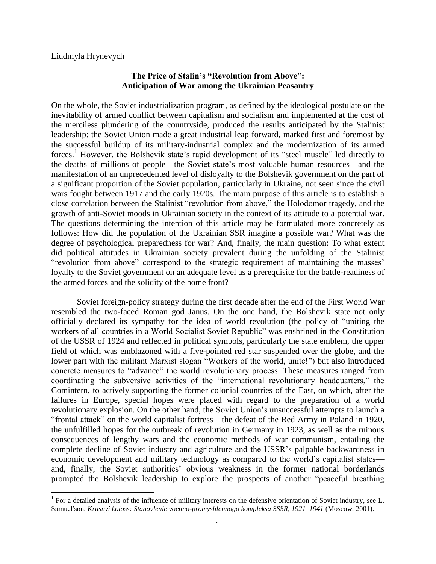## Liudmyla Hrynevych

## **The Price of Stalin's "Revolution from Above": Anticipation of War among the Ukrainian Peasantry**

On the whole, the Soviet industrialization program, as defined by the ideological postulate on the inevitability of armed conflict between capitalism and socialism and implemented at the cost of the merciless plundering of the countryside, produced the results anticipated by the Stalinist leadership: the Soviet Union made a great industrial leap forward, marked first and foremost by the successful buildup of its military-industrial complex and the modernization of its armed forces.<sup>1</sup> However, the Bolshevik state's rapid development of its "steel muscle" led directly to the deaths of millions of people—the Soviet state's most valuable human resources—and the manifestation of an unprecedented level of disloyalty to the Bolshevik government on the part of a significant proportion of the Soviet population, particularly in Ukraine, not seen since the civil wars fought between 1917 and the early 1920s. The main purpose of this article is to establish a close correlation between the Stalinist "revolution from above," the Holodomor tragedy, and the growth of anti-Soviet moods in Ukrainian society in the context of its attitude to a potential war. The questions determining the intention of this article may be formulated more concretely as follows: How did the population of the Ukrainian SSR imagine a possible war? What was the degree of psychological preparedness for war? And, finally, the main question: To what extent did political attitudes in Ukrainian society prevalent during the unfolding of the Stalinist "revolution from above" correspond to the strategic requirement of maintaining the masses' loyalty to the Soviet government on an adequate level as a prerequisite for the battle-readiness of the armed forces and the solidity of the home front?

Soviet foreign-policy strategy during the first decade after the end of the First World War resembled the two-faced Roman god Janus. On the one hand, the Bolshevik state not only officially declared its sympathy for the idea of world revolution (the policy of "uniting the workers of all countries in a World Socialist Soviet Republic" was enshrined in the Constitution of the USSR of 1924 and reflected in political symbols, particularly the state emblem, the upper field of which was emblazoned with a five-pointed red star suspended over the globe, and the lower part with the militant Marxist slogan "Workers of the world, unite!") but also introduced concrete measures to "advance" the world revolutionary process. These measures ranged from coordinating the subversive activities of the "international revolutionary headquarters," the Comintern, to actively supporting the former colonial countries of the East, on which, after the failures in Europe, special hopes were placed with regard to the preparation of a world revolutionary explosion. On the other hand, the Soviet Union's unsuccessful attempts to launch a "frontal attack" on the world capitalist fortress—the defeat of the Red Army in Poland in 1920, the unfulfilled hopes for the outbreak of revolution in Germany in 1923, as well as the ruinous consequences of lengthy wars and the economic methods of war communism, entailing the complete decline of Soviet industry and agriculture and the USSR's palpable backwardness in economic development and military technology as compared to the world's capitalist states and, finally, the Soviet authorities' obvious weakness in the former national borderlands prompted the Bolshevik leadership to explore the prospects of another "peaceful breathing

 1 For a detailed analysis of the influence of military interests on the defensive orientation of Soviet industry, see L. Samuel′son, *Krasnyi koloss: Stanovlenie voenno-promyshlennogo kompleksa SSSR, 1921–1941* (Moscow, 2001).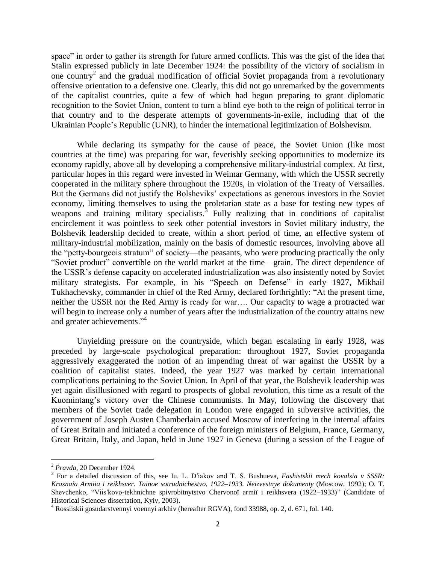space" in order to gather its strength for future armed conflicts. This was the gist of the idea that Stalin expressed publicly in late December 1924: the possibility of the victory of socialism in one country<sup>2</sup> and the gradual modification of official Soviet propaganda from a revolutionary offensive orientation to a defensive one. Clearly, this did not go unremarked by the governments of the capitalist countries, quite a few of which had begun preparing to grant diplomatic recognition to the Soviet Union, content to turn a blind eye both to the reign of political terror in that country and to the desperate attempts of governments-in-exile, including that of the Ukrainian People's Republic (UNR), to hinder the international legitimization of Bolshevism.

While declaring its sympathy for the cause of peace, the Soviet Union (like most countries at the time) was preparing for war, feverishly seeking opportunities to modernize its economy rapidly, above all by developing a comprehensive military-industrial complex. At first, particular hopes in this regard were invested in Weimar Germany, with which the USSR secretly cooperated in the military sphere throughout the 1920s, in violation of the Treaty of Versailles. But the Germans did not justify the Bolsheviks' expectations as generous investors in the Soviet economy, limiting themselves to using the proletarian state as a base for testing new types of weapons and training military specialists.<sup>3</sup> Fully realizing that in conditions of capitalist encirclement it was pointless to seek other potential investors in Soviet military industry, the Bolshevik leadership decided to create, within a short period of time, an effective system of military-industrial mobilization, mainly on the basis of domestic resources, involving above all the "petty-bourgeois stratum" of society—the peasants, who were producing practically the only "Soviet product" convertible on the world market at the time—grain. The direct dependence of the USSR's defense capacity on accelerated industrialization was also insistently noted by Soviet military strategists. For example, in his "Speech on Defense" in early 1927, Mikhail Tukhachevsky, commander in chief of the Red Army, declared forthrightly: "At the present time, neither the USSR nor the Red Army is ready for war…. Our capacity to wage a protracted war will begin to increase only a number of years after the industrialization of the country attains new and greater achievements."<sup>4</sup>

Unyielding pressure on the countryside, which began escalating in early 1928, was preceded by large-scale psychological preparation: throughout 1927, Soviet propaganda aggressively exaggerated the notion of an impending threat of war against the USSR by a coalition of capitalist states. Indeed, the year 1927 was marked by certain international complications pertaining to the Soviet Union. In April of that year, the Bolshevik leadership was yet again disillusioned with regard to prospects of global revolution, this time as a result of the Kuomintang's victory over the Chinese communists. In May, following the discovery that members of the Soviet trade delegation in London were engaged in subversive activities, the government of Joseph Austen Chamberlain accused Moscow of interfering in the internal affairs of Great Britain and initiated a conference of the foreign ministers of Belgium, France, Germany, Great Britain, Italy, and Japan, held in June 1927 in Geneva (during a session of the League of

l

<sup>2</sup> *Pravda*, 20 December 1924.

<sup>3</sup> For a detailed discussion of this, see Iu. L. D′iakov and T. S. Bushueva, *Fashistskii mech kovalsia v SSSR: Krasnaia Armiia i reikhsver. Tainoe sotrudnichestvo, 1922–1933. Neizvestnye dokumenty* (Moscow, 1992); O. T. Shevchenko, "Viis′kovo-tekhnichne spivrobitnytstvo Chervonoï armiï i reikhsvera (1922–1933)" (Candidate of Historical Sciences dissertation, Kyiv, 2003).

<sup>4</sup> Rossiiskii gosudarstvennyi voennyi arkhiv (hereafter RGVA), fond 33988, op. 2, d. 671, fol. 140.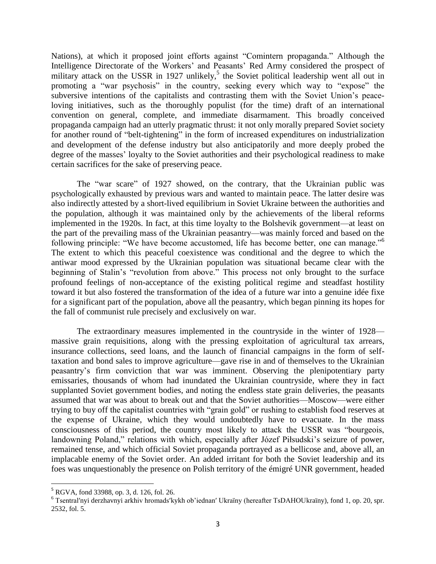Nations), at which it proposed joint efforts against "Comintern propaganda." Although the Intelligence Directorate of the Workers' and Peasants' Red Army considered the prospect of military attack on the USSR in 1927 unlikely,<sup>5</sup> the Soviet political leadership went all out in promoting a "war psychosis" in the country, seeking every which way to "expose" the subversive intentions of the capitalists and contrasting them with the Soviet Union's peaceloving initiatives, such as the thoroughly populist (for the time) draft of an international convention on general, complete, and immediate disarmament. This broadly conceived propaganda campaign had an utterly pragmatic thrust: it not only morally prepared Soviet society for another round of "belt-tightening" in the form of increased expenditures on industrialization and development of the defense industry but also anticipatorily and more deeply probed the degree of the masses' loyalty to the Soviet authorities and their psychological readiness to make certain sacrifices for the sake of preserving peace.

The "war scare" of 1927 showed, on the contrary, that the Ukrainian public was psychologically exhausted by previous wars and wanted to maintain peace. The latter desire was also indirectly attested by a short-lived equilibrium in Soviet Ukraine between the authorities and the population, although it was maintained only by the achievements of the liberal reforms implemented in the 1920s. In fact, at this time loyalty to the Bolshevik government—at least on the part of the prevailing mass of the Ukrainian peasantry—was mainly forced and based on the following principle: "We have become accustomed, life has become better, one can manage."<sup>6</sup> The extent to which this peaceful coexistence was conditional and the degree to which the antiwar mood expressed by the Ukrainian population was situational became clear with the beginning of Stalin's "revolution from above." This process not only brought to the surface profound feelings of non-acceptance of the existing political regime and steadfast hostility toward it but also fostered the transformation of the idea of a future war into a genuine idée fixe for a significant part of the population, above all the peasantry, which began pinning its hopes for the fall of communist rule precisely and exclusively on war.

The extraordinary measures implemented in the countryside in the winter of 1928 massive grain requisitions, along with the pressing exploitation of agricultural tax arrears, insurance collections, seed loans, and the launch of financial campaigns in the form of selftaxation and bond sales to improve agriculture—gave rise in and of themselves to the Ukrainian peasantry's firm conviction that war was imminent. Observing the plenipotentiary party emissaries, thousands of whom had inundated the Ukrainian countryside, where they in fact supplanted Soviet government bodies, and noting the endless state grain deliveries, the peasants assumed that war was about to break out and that the Soviet authorities—Moscow—were either trying to buy off the capitalist countries with "grain gold" or rushing to establish food reserves at the expense of Ukraine, which they would undoubtedly have to evacuate. In the mass consciousness of this period, the country most likely to attack the USSR was "bourgeois, landowning Poland," relations with which, especially after Józef Piłsudski's seizure of power, remained tense, and which official Soviet propaganda portrayed as a bellicose and, above all, an implacable enemy of the Soviet order. An added irritant for both the Soviet leadership and its foes was unquestionably the presence on Polish territory of the émigré UNR government, headed

<sup>&</sup>lt;sup>5</sup> RGVA, fond 33988, op. 3, d. 126, fol. 26.

<sup>6</sup> Tsentral′nyi derzhavnyi arkhiv hromads′kykh ob'iednan′ Ukraïny (hereafter TsDAHOUkraïny), fond 1, op. 20, spr. 2532, fol. 5.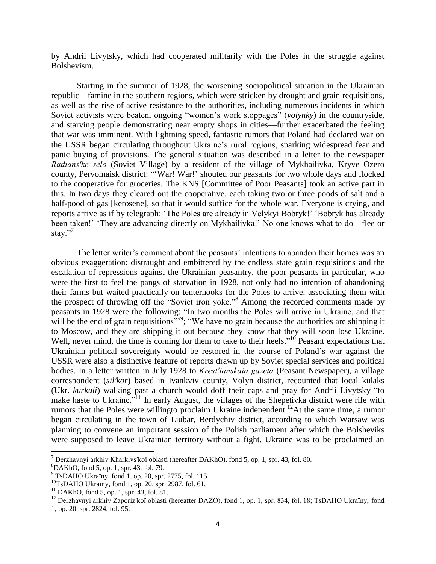by Andrii Livytsky, which had cooperated militarily with the Poles in the struggle against Bolshevism.

Starting in the summer of 1928, the worsening sociopolitical situation in the Ukrainian republic—famine in the southern regions, which were stricken by drought and grain requisitions, as well as the rise of active resistance to the authorities, including numerous incidents in which Soviet activists were beaten, ongoing "women's work stoppages" (*volynky*) in the countryside, and starving people demonstrating near empty shops in cities—further exacerbated the feeling that war was imminent. With lightning speed, fantastic rumors that Poland had declared war on the USSR began circulating throughout Ukraine's rural regions, sparking widespread fear and panic buying of provisions. The general situation was described in a letter to the newspaper *Radians′ke selo* (Soviet Village) by a resident of the village of Mykhailivka, Kryve Ozero county, Pervomaisk district: "'War! War!' shouted our peasants for two whole days and flocked to the cooperative for groceries. The KNS [Committee of Poor Peasants] took an active part in this. In two days they cleared out the cooperative, each taking two or three poods of salt and a half-pood of gas [kerosene], so that it would suffice for the whole war. Everyone is crying, and reports arrive as if by telegraph: 'The Poles are already in Velykyi Bobryk!' 'Bobryk has already been taken!' 'They are advancing directly on Mykhailivka!' No one knows what to do—flee or stay."

The letter writer's comment about the peasants' intentions to abandon their homes was an obvious exaggeration: distraught and embittered by the endless state grain requisitions and the escalation of repressions against the Ukrainian peasantry, the poor peasants in particular, who were the first to feel the pangs of starvation in 1928, not only had no intention of abandoning their farms but waited practically on tenterhooks for the Poles to arrive, associating them with the prospect of throwing off the "Soviet iron yoke."<sup>8</sup> Among the recorded comments made by peasants in 1928 were the following: "In two months the Poles will arrive in Ukraine, and that will be the end of grain requisitions<sup>"'</sup>, "We have no grain because the authorities are shipping it to Moscow, and they are shipping it out because they know that they will soon lose Ukraine. Well, never mind, the time is coming for them to take to their heels."<sup>10</sup> Peasant expectations that Ukrainian political sovereignty would be restored in the course of Poland's war against the USSR were also a distinctive feature of reports drawn up by Soviet special services and political bodies. In a letter written in July 1928 to *Krest′ianskaia gazeta* (Peasant Newspaper), a village correspondent (*sil′kor*) based in Ivankviv county, Volyn district, recounted that local kulaks (Ukr. *kurkuli*) walking past a church would doff their caps and pray for Andrii Livytsky "to make haste to Ukraine.<sup>"11</sup> In early August, the villages of the Shepetivka district were rife with rumors that the Poles were willingto proclaim Ukraine independent.<sup>12</sup>At the same time, a rumor began circulating in the town of Liubar, Berdychiv district, according to which Warsaw was planning to convene an important session of the Polish parliament after which the Bolsheviks were supposed to leave Ukrainian territory without a fight. Ukraine was to be proclaimed an

 $<sup>7</sup>$  Derzhavnyi arkhiv Kharkivs' koï oblasti (hereafter DAKhO), fond 5, op. 1, spr. 43, fol. 80.</sup>

<sup>8</sup>DAKhO, fond 5, op. 1, spr. 43, fol. 79.

<sup>&</sup>lt;sup>9</sup> TsDAHO Ukraïny, fond 1, op. 20, spr. 2775, fol. 115.

 $^{10}$ TsDAHO Ukraïny, fond 1, op. 20, spr. 2987, fol. 61.

 $11$  DAKhO, fond 5, op. 1, spr. 43, fol. 81.

<sup>&</sup>lt;sup>12</sup> Derzhavnyi arkhiv Zaporiz'koï oblasti (hereafter DAZO), fond 1, op. 1, spr. 834, fol. 18; TsDAHO Ukraïny, fond 1, op. 20, spr. 2824, fol. 95.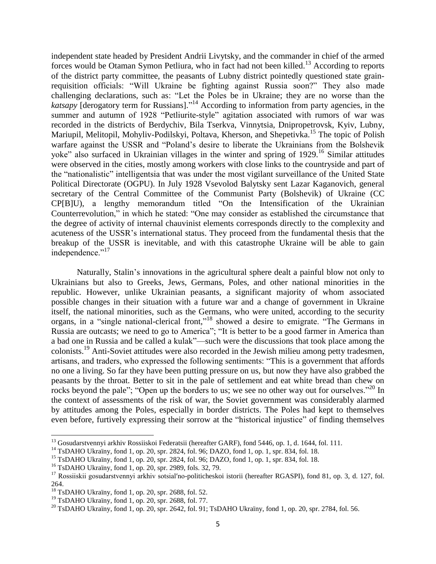independent state headed by President Andrii Livytsky, and the commander in chief of the armed forces would be Otaman Symon Petliura, who in fact had not been killed.<sup>13</sup> According to reports of the district party committee, the peasants of Lubny district pointedly questioned state grainrequisition officials: "Will Ukraine be fighting against Russia soon?" They also made challenging declarations, such as: "Let the Poles be in Ukraine; they are no worse than the *katsapy* [derogatory term for Russians]." <sup>14</sup> According to information from party agencies, in the summer and autumn of 1928 "Petliurite-style" agitation associated with rumors of war was recorded in the districts of Berdychiv, Bila Tserkva, Vinnytsia, Dnipropetrovsk, Kyiv, Lubny, Mariupil, Melitopil, Mohyliv-Podilskyi, Poltava, Kherson, and Shepetivka.<sup>15</sup> The topic of Polish warfare against the USSR and "Poland's desire to liberate the Ukrainians from the Bolshevik yoke" also surfaced in Ukrainian villages in the winter and spring of 1929.<sup>16</sup> Similar attitudes were observed in the cities, mostly among workers with close links to the countryside and part of the "nationalistic" intelligentsia that was under the most vigilant surveillance of the United State Political Directorate (OGPU). In July 1928 Vsevolod Balytsky sent Lazar Kaganovich, general secretary of the Central Committee of the Communist Party (Bolshevik) of Ukraine (CC CP[B]U), a lengthy memorandum titled "On the Intensification of the Ukrainian Counterrevolution," in which he stated: "One may consider as established the circumstance that the degree of activity of internal chauvinist elements corresponds directly to the complexity and acuteness of the USSR's international status. They proceed from the fundamental thesis that the breakup of the USSR is inevitable, and with this catastrophe Ukraine will be able to gain independence."<sup>17</sup>

Naturally, Stalin's innovations in the agricultural sphere dealt a painful blow not only to Ukrainians but also to Greeks, Jews, Germans, Poles, and other national minorities in the republic. However, unlike Ukrainian peasants, a significant majority of whom associated possible changes in their situation with a future war and a change of government in Ukraine itself, the national minorities, such as the Germans, who were united, according to the security organs, in a "single national-clerical front,"<sup>18</sup> showed a desire to emigrate. "The Germans in Russia are outcasts; we need to go to America"; "It is better to be a good farmer in America than a bad one in Russia and be called a kulak"—such were the discussions that took place among the colonists.<sup>19</sup> Anti-Soviet attitudes were also recorded in the Jewish milieu among petty tradesmen, artisans, and traders, who expressed the following sentiments: "This is a government that affords no one a living. So far they have been putting pressure on us, but now they have also grabbed the peasants by the throat. Better to sit in the pale of settlement and eat white bread than chew on rocks beyond the pale"; "Open up the borders to us; we see no other way out for ourselves."<sup>20</sup> In the context of assessments of the risk of war, the Soviet government was considerably alarmed by attitudes among the Poles, especially in border districts. The Poles had kept to themselves even before, furtively expressing their sorrow at the "historical injustice" of finding themselves

<sup>&</sup>lt;sup>13</sup> Gosudarstvennyi arkhiv Rossiiskoi Federatsii (hereafter GARF), fond 5446, op. 1, d. 1644, fol. 111.

<sup>14</sup> TsDAHO Ukraïny, fond 1, op. 20, spr. 2824, fol. 96; DAZO, fond 1, op. 1, spr. 834, fol. 18.

<sup>15</sup> TsDAHO Ukraïny, fond 1, op. 20, spr. 2824, fol. 96; DAZO, fond 1, op. 1, spr. 834, fol. 18.

<sup>16</sup> TsDAHO Ukraïny, fond 1, op. 20, spr. 2989, fols. 32, 79.

<sup>&</sup>lt;sup>17</sup> Rossiiskii gosudarstvennyi arkhiv sotsial'no-politicheskoi istorii (hereafter RGASPI), fond 81, op. 3, d. 127, fol. 264.

 $18$  TsDAHO Ukraïny, fond 1, op. 20, spr. 2688, fol. 52.

<sup>19</sup> TsDAHO Ukraïny, fond 1, op. 20, spr. 2688, fol. 77.

<sup>&</sup>lt;sup>20</sup> TsDAHO Ukraïny, fond 1, op. 20, spr. 2642, fol. 91; TsDAHO Ukraïny, fond 1, op. 20, spr. 2784, fol. 56.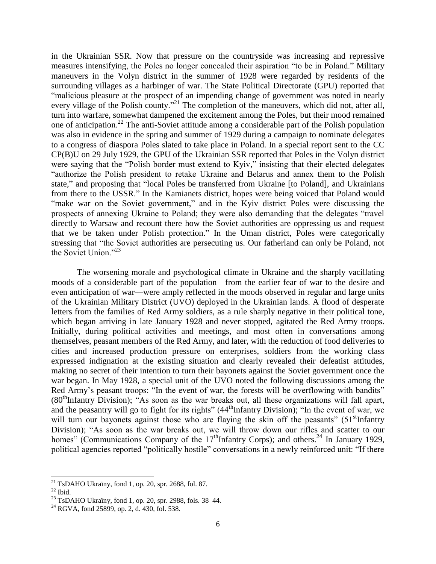in the Ukrainian SSR. Now that pressure on the countryside was increasing and repressive measures intensifying, the Poles no longer concealed their aspiration "to be in Poland." Military maneuvers in the Volyn district in the summer of 1928 were regarded by residents of the surrounding villages as a harbinger of war. The State Political Directorate (GPU) reported that "malicious pleasure at the prospect of an impending change of government was noted in nearly every village of the Polish county."<sup>21</sup> The completion of the maneuvers, which did not, after all, turn into warfare, somewhat dampened the excitement among the Poles, but their mood remained one of anticipation.<sup>22</sup> The anti-Soviet attitude among a considerable part of the Polish population was also in evidence in the spring and summer of 1929 during a campaign to nominate delegates to a congress of diaspora Poles slated to take place in Poland. In a special report sent to the CC CP(B)U on 29 July 1929, the GPU of the Ukrainian SSR reported that Poles in the Volyn district were saying that the "Polish border must extend to Kyiv," insisting that their elected delegates "authorize the Polish president to retake Ukraine and Belarus and annex them to the Polish state," and proposing that "local Poles be transferred from Ukraine [to Poland], and Ukrainians from there to the USSR." In the Kamianets district, hopes were being voiced that Poland would "make war on the Soviet government," and in the Kyiv district Poles were discussing the prospects of annexing Ukraine to Poland; they were also demanding that the delegates "travel directly to Warsaw and recount there how the Soviet authorities are oppressing us and request that we be taken under Polish protection." In the Uman district, Poles were categorically stressing that "the Soviet authorities are persecuting us. Our fatherland can only be Poland, not the Soviet Union."<sup>23</sup>

The worsening morale and psychological climate in Ukraine and the sharply vacillating moods of a considerable part of the population—from the earlier fear of war to the desire and even anticipation of war—were amply reflected in the moods observed in regular and large units of the Ukrainian Military District (UVO) deployed in the Ukrainian lands. A flood of desperate letters from the families of Red Army soldiers, as a rule sharply negative in their political tone, which began arriving in late January 1928 and never stopped, agitated the Red Army troops. Initially, during political activities and meetings, and most often in conversations among themselves, peasant members of the Red Army, and later, with the reduction of food deliveries to cities and increased production pressure on enterprises, soldiers from the working class expressed indignation at the existing situation and clearly revealed their defeatist attitudes, making no secret of their intention to turn their bayonets against the Soviet government once the war began. In May 1928, a special unit of the UVO noted the following discussions among the Red Army's peasant troops: "In the event of war, the forests will be overflowing with bandits"  $(80<sup>th</sup>$ Infantry Division); "As soon as the war breaks out, all these organizations will fall apart, and the peasantry will go to fight for its rights"  $(44<sup>th</sup>$ Infantry Division); "In the event of war, we will turn our bayonets against those who are flaying the skin off the peasants"  $(51<sup>st</sup>Infantry)$ Division); "As soon as the war breaks out, we will throw down our rifles and scatter to our homes" (Communications Company of the  $17<sup>th</sup>$ Infantry Corps); and others.<sup>24</sup> In January 1929, political agencies reported "politically hostile" conversations in a newly reinforced unit: "If there

 $^{21}$  TsDAHO Ukraïny, fond 1, op. 20, spr. 2688, fol. 87.

 $22$  Ibid.

<sup>&</sup>lt;sup>23</sup> TsDAHO Ukraïny, fond 1, op. 20, spr. 2988, fols. 38–44.

 $^{24}$  RGVA, fond 25899, op. 2, d. 430, fol. 538.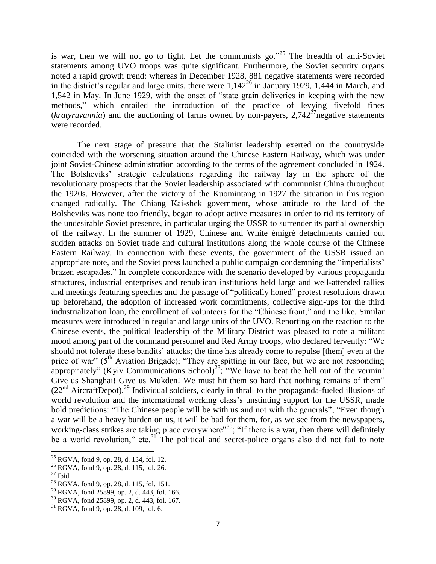is war, then we will not go to fight. Let the communists go.<sup> $25$ </sup> The breadth of anti-Soviet statements among UVO troops was quite significant. Furthermore, the Soviet security organs noted a rapid growth trend: whereas in December 1928, 881 negative statements were recorded in the district's regular and large units, there were  $1,142^{26}$  in January 1929, 1,444 in March, and 1,542 in May. In June 1929, with the onset of "state grain deliveries in keeping with the new methods," which entailed the introduction of the practice of levying fivefold fines (*kratyruvannia*) and the auctioning of farms owned by non-payers,  $2.742^{27}$ negative statements were recorded.

The next stage of pressure that the Stalinist leadership exerted on the countryside coincided with the worsening situation around the Chinese Eastern Railway, which was under joint Soviet-Chinese administration according to the terms of the agreement concluded in 1924. The Bolsheviks' strategic calculations regarding the railway lay in the sphere of the revolutionary prospects that the Soviet leadership associated with communist China throughout the 1920s. However, after the victory of the Kuomintang in 1927 the situation in this region changed radically. The Chiang Kai-shek government, whose attitude to the land of the Bolsheviks was none too friendly, began to adopt active measures in order to rid its territory of the undesirable Soviet presence, in particular urging the USSR to surrender its partial ownership of the railway. In the summer of 1929, Chinese and White émigré detachments carried out sudden attacks on Soviet trade and cultural institutions along the whole course of the Chinese Eastern Railway. In connection with these events, the government of the USSR issued an appropriate note, and the Soviet press launched a public campaign condemning the "imperialists' brazen escapades." In complete concordance with the scenario developed by various propaganda structures, industrial enterprises and republican institutions held large and well-attended rallies and meetings featuring speeches and the passage of "politically honed" protest resolutions drawn up beforehand, the adoption of increased work commitments, collective sign-ups for the third industrialization loan, the enrollment of volunteers for the "Chinese front," and the like. Similar measures were introduced in regular and large units of the UVO. Reporting on the reaction to the Chinese events, the political leadership of the Military District was pleased to note a militant mood among part of the command personnel and Red Army troops, who declared fervently: "We should not tolerate these bandits' attacks; the time has already come to repulse [them] even at the price of war"  $(5<sup>th</sup>$  Aviation Brigade); "They are spitting in our face, but we are not responding appropriately" (Kyiv Communications School)<sup>28</sup>; "We have to beat the hell out of the vermin! Give us Shanghai! Give us Mukden! We must hit them so hard that nothing remains of them"  $(22<sup>nd</sup> AircraftDepot).$ <sup>29</sup> Individual soldiers, clearly in thrall to the propaganda-fueled illusions of world revolution and the international working class's unstinting support for the USSR, made bold predictions: "The Chinese people will be with us and not with the generals"; "Even though a war will be a heavy burden on us, it will be bad for them, for, as we see from the newspapers, working-class strikes are taking place everywhere"<sup>30</sup>; "If there is a war, then there will definitely be a world revolution," etc.<sup>31</sup> The political and secret-police organs also did not fail to note

 $^{25}$  RGVA, fond 9, op. 28, d. 134, fol. 12.

<sup>26</sup> RGVA, fond 9, op. 28, d. 115, fol. 26.

 $27$  Ibid.

 $^{28}$  RGVA, fond 9, op. 28, d. 115, fol. 151.

 $^{29}$  RGVA, fond 25899, op. 2, d. 443, fol. 166.

<sup>30</sup> RGVA, fond 25899, op. 2, d. 443, fol. 167.

 $31$  RGVA, fond 9, op. 28, d. 109, fol. 6.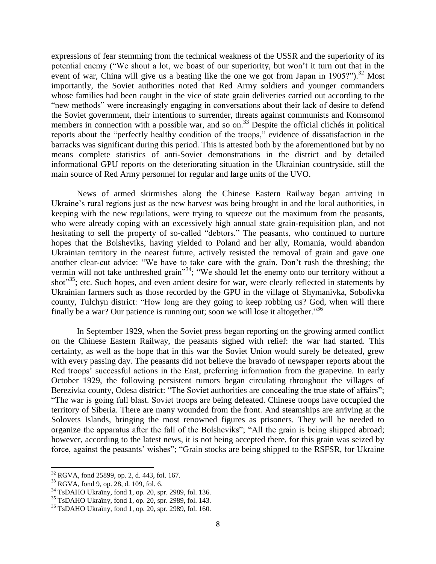expressions of fear stemming from the technical weakness of the USSR and the superiority of its potential enemy ("We shout a lot, we boast of our superiority, but won't it turn out that in the event of war, China will give us a beating like the one we got from Japan in  $1905$ ?").<sup>32</sup> Most importantly, the Soviet authorities noted that Red Army soldiers and younger commanders whose families had been caught in the vice of state grain deliveries carried out according to the "new methods" were increasingly engaging in conversations about their lack of desire to defend the Soviet government, their intentions to surrender, threats against communists and Komsomol members in connection with a possible war, and so on.<sup>33</sup> Despite the official clichés in political reports about the "perfectly healthy condition of the troops," evidence of dissatisfaction in the barracks was significant during this period. This is attested both by the aforementioned but by no means complete statistics of anti-Soviet demonstrations in the district and by detailed informational GPU reports on the deteriorating situation in the Ukrainian countryside, still the main source of Red Army personnel for regular and large units of the UVO.

News of armed skirmishes along the Chinese Eastern Railway began arriving in Ukraine's rural regions just as the new harvest was being brought in and the local authorities, in keeping with the new regulations, were trying to squeeze out the maximum from the peasants, who were already coping with an excessively high annual state grain-requisition plan, and not hesitating to sell the property of so-called "debtors." The peasants, who continued to nurture hopes that the Bolsheviks, having yielded to Poland and her ally, Romania, would abandon Ukrainian territory in the nearest future, actively resisted the removal of grain and gave one another clear-cut advice: "We have to take care with the grain. Don't rush the threshing; the vermin will not take unthreshed grain<sup>34</sup>; "We should let the enemy onto our territory without a shot"<sup>35</sup>; etc. Such hopes, and even ardent desire for war, were clearly reflected in statements by Ukrainian farmers such as those recorded by the GPU in the village of Shymanivka, Sobolivka county, Tulchyn district: "How long are they going to keep robbing us? God, when will there finally be a war? Our patience is running out; soon we will lose it altogether.<sup>356</sup>

In September 1929, when the Soviet press began reporting on the growing armed conflict on the Chinese Eastern Railway, the peasants sighed with relief: the war had started. This certainty, as well as the hope that in this war the Soviet Union would surely be defeated, grew with every passing day. The peasants did not believe the bravado of newspaper reports about the Red troops' successful actions in the East, preferring information from the grapevine. In early October 1929, the following persistent rumors began circulating throughout the villages of Berezivka county, Odesa district: "The Soviet authorities are concealing the true state of affairs"; "The war is going full blast. Soviet troops are being defeated. Chinese troops have occupied the territory of Siberia. There are many wounded from the front. And steamships are arriving at the Solovets Islands, bringing the most renowned figures as prisoners. They will be needed to organize the apparatus after the fall of the Bolsheviks"; "All the grain is being shipped abroad; however, according to the latest news, it is not being accepted there, for this grain was seized by force, against the peasants' wishes"; "Grain stocks are being shipped to the RSFSR, for Ukraine

 $\overline{a}$ 

 $32$  RGVA, fond 25899, op. 2, d. 443, fol. 167.

<sup>33</sup> RGVA, fond 9, op. 28, d. 109, fol. 6.

<sup>34</sup> TsDAHO Ukraïny, fond 1, op. 20, spr. 2989, fol. 136.

<sup>35</sup> TsDAHO Ukraïny, fond 1, op. 20, spr. 2989, fol. 143.

<sup>36</sup> TsDAHO Ukraïny, fond 1, op. 20, spr. 2989, fol. 160.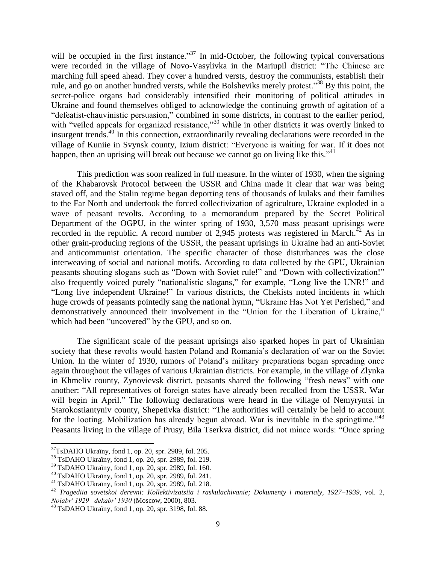will be occupied in the first instance.<sup> $37$ </sup> In mid-October, the following typical conversations were recorded in the village of Novo-Vasylivka in the Mariupil district: "The Chinese are marching full speed ahead. They cover a hundred versts, destroy the communists, establish their rule, and go on another hundred versts, while the Bolsheviks merely protest."<sup>38</sup> By this point, the secret-police organs had considerably intensified their monitoring of political attitudes in Ukraine and found themselves obliged to acknowledge the continuing growth of agitation of a "defeatist-chauvinistic persuasion," combined in some districts, in contrast to the earlier period, with "veiled appeals for organized resistance,"<sup>39</sup> while in other districts it was overtly linked to insurgent trends.<sup>40</sup> In this connection, extraordinarily revealing declarations were recorded in the village of Kuniie in Svynsk county, Izium district: "Everyone is waiting for war. If it does not happen, then an uprising will break out because we cannot go on living like this.<sup> $341$ </sup>

This prediction was soon realized in full measure. In the winter of 1930, when the signing of the Khabarovsk Protocol between the USSR and China made it clear that war was being staved off, and the Stalin regime began deporting tens of thousands of kulaks and their families to the Far North and undertook the forced collectivization of agriculture, Ukraine exploded in a wave of peasant revolts. According to a memorandum prepared by the Secret Political Department of the OGPU, in the winter–spring of 1930, 3,570 mass peasant uprisings were recorded in the republic. A record number of 2,945 protests was registered in March.<sup> $42$ </sup> As in other grain-producing regions of the USSR, the peasant uprisings in Ukraine had an anti-Soviet and anticommunist orientation. The specific character of those disturbances was the close interweaving of social and national motifs. According to data collected by the GPU, Ukrainian peasants shouting slogans such as "Down with Soviet rule!" and "Down with collectivization!" also frequently voiced purely "nationalistic slogans," for example, "Long live the UNR!" and "Long live independent Ukraine!" In various districts, the Chekists noted incidents in which huge crowds of peasants pointedly sang the national hymn, "Ukraine Has Not Yet Perished," and demonstratively announced their involvement in the "Union for the Liberation of Ukraine," which had been "uncovered" by the GPU, and so on.

The significant scale of the peasant uprisings also sparked hopes in part of Ukrainian society that these revolts would hasten Poland and Romania's declaration of war on the Soviet Union. In the winter of 1930, rumors of Poland's military preparations began spreading once again throughout the villages of various Ukrainian districts. For example, in the village of Zlynka in Khmeliv county, Zynovievsk district, peasants shared the following "fresh news" with one another: "All representatives of foreign states have already been recalled from the USSR. War will begin in April." The following declarations were heard in the village of Nemyryntsi in Starokostiantyniv county, Shepetivka district: "The authorities will certainly be held to account for the looting. Mobilization has already begun abroad. War is inevitable in the springtime.<sup> $34$ </sup> Peasants living in the village of Prusy, Bila Tserkva district, did not mince words: "Once spring

 $\overline{a}$ 

 $37$ TsDAHO Ukraïny, fond 1, op. 20, spr. 2989, fol. 205.

<sup>38</sup> TsDAHO Ukraïny, fond 1, op. 20, spr. 2989, fol. 219.

<sup>39</sup> TsDAHO Ukraïny, fond 1, op. 20, spr. 2989, fol. 160.

<sup>40</sup> TsDAHO Ukraïny, fond 1, op. 20, spr. 2989, fol. 241.

<sup>41</sup> TsDAHO Ukraïny, fond 1, op. 20, spr. 2989, fol. 218.

<sup>42</sup> *Tragediia sovetskoi derevni: Kollektivizatsiia i raskulachivanie; Dokumenty i materialy, 1927–1939*, vol. 2, *Noiabr′ 1929 –dekabr′ 1930* (Moscow, 2000), 803.

 $^{43}$  TsDAHO Ukraïny, fond 1, op. 20, spr. 3198, fol. 88.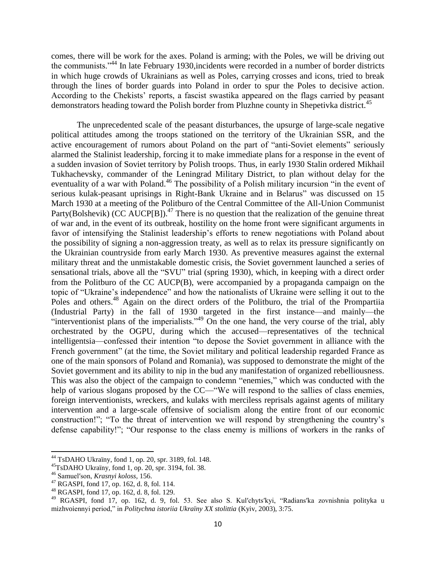comes, there will be work for the axes. Poland is arming; with the Poles, we will be driving out the communists."<sup>44</sup> In late February 1930,incidents were recorded in a number of border districts in which huge crowds of Ukrainians as well as Poles, carrying crosses and icons, tried to break through the lines of border guards into Poland in order to spur the Poles to decisive action. According to the Chekists' reports, a fascist swastika appeared on the flags carried by peasant demonstrators heading toward the Polish border from Pluzhne county in Shepetivka district.<sup>45</sup>

The unprecedented scale of the peasant disturbances, the upsurge of large-scale negative political attitudes among the troops stationed on the territory of the Ukrainian SSR, and the active encouragement of rumors about Poland on the part of "anti-Soviet elements" seriously alarmed the Stalinist leadership, forcing it to make immediate plans for a response in the event of a sudden invasion of Soviet territory by Polish troops. Thus, in early 1930 Stalin ordered Mikhail Tukhachevsky, commander of the Leningrad Military District, to plan without delay for the eventuality of a war with Poland.<sup>46</sup> The possibility of a Polish military incursion "in the event of serious kulak-peasant uprisings in Right-Bank Ukraine and in Belarus" was discussed on 15 March 1930 at a meeting of the Politburo of the Central Committee of the All-Union Communist Party(Bolshevik) (CC  $\text{AUCP[B]}$ ).<sup>47</sup> There is no question that the realization of the genuine threat of war and, in the event of its outbreak, hostility on the home front were significant arguments in favor of intensifying the Stalinist leadership's efforts to renew negotiations with Poland about the possibility of signing a non-aggression treaty, as well as to relax its pressure significantly on the Ukrainian countryside from early March 1930. As preventive measures against the external military threat and the unmistakable domestic crisis, the Soviet government launched a series of sensational trials, above all the "SVU" trial (spring 1930), which, in keeping with a direct order from the Politburo of the CC AUCP(B), were accompanied by a propaganda campaign on the topic of "Ukraine's independence" and how the nationalists of Ukraine were selling it out to the Poles and others.<sup>48</sup> Again on the direct orders of the Politburo, the trial of the Prompartiia (Industrial Party) in the fall of 1930 targeted in the first instance—and mainly—the "interventionist plans of the imperialists."<sup>49</sup> On the one hand, the very course of the trial, ably orchestrated by the OGPU, during which the accused—representatives of the technical intelligentsia—confessed their intention "to depose the Soviet government in alliance with the French government" (at the time, the Soviet military and political leadership regarded France as one of the main sponsors of Poland and Romania), was supposed to demonstrate the might of the Soviet government and its ability to nip in the bud any manifestation of organized rebelliousness. This was also the object of the campaign to condemn "enemies," which was conducted with the help of various slogans proposed by the CC—"We will respond to the sallies of class enemies, foreign interventionists, wreckers, and kulaks with merciless reprisals against agents of military intervention and a large-scale offensive of socialism along the entire front of our economic construction!"; "To the threat of intervention we will respond by strengthening the country's defense capability!"; "Our response to the class enemy is millions of workers in the ranks of

 $44$  TsDAHO Ukraïny, fond 1, op. 20, spr. 3189, fol. 148.

<sup>45</sup>TsDAHO Ukraïny, fond 1, op. 20, spr. 3194, fol. 38.

<sup>46</sup> Samuel′son, *Krasnyi koloss*, 156.

 $^{47}$  RGASPI, fond 17, op. 162, d. 8, fol. 114.

<sup>48</sup> RGASPI, fond 17, op. 162, d. 8, fol. 129.

<sup>49</sup> RGASPI, fond 17, op. 162, d. 9, fol. 53. See also S. Kul′chyts′kyi, "Radians′ka zovnishnia polityka u mizhvoiennyi period," in *Politychna istoriia Ukraïny XX stolittia* (Kyiv, 2003), 3:75.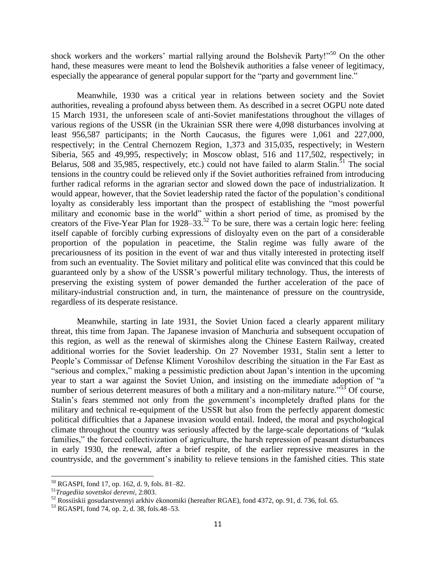shock workers and the workers' martial rallying around the Bolshevik Party!"<sup>50</sup> On the other hand, these measures were meant to lend the Bolshevik authorities a false veneer of legitimacy, especially the appearance of general popular support for the "party and government line."

Meanwhile, 1930 was a critical year in relations between society and the Soviet authorities, revealing a profound abyss between them. As described in a secret OGPU note dated 15 March 1931, the unforeseen scale of anti-Soviet manifestations throughout the villages of various regions of the USSR (in the Ukrainian SSR there were 4,098 disturbances involving at least 956,587 participants; in the North Caucasus, the figures were 1,061 and 227,000, respectively; in the Central Chernozem Region, 1,373 and 315,035, respectively; in Western Siberia, 565 and 49,995, respectively; in Moscow oblast, 516 and 117,502, respectively; in Belarus, 508 and 35,985, respectively, etc.) could not have failed to alarm Stalin.<sup>51</sup> The social tensions in the country could be relieved only if the Soviet authorities refrained from introducing further radical reforms in the agrarian sector and slowed down the pace of industrialization. It would appear, however, that the Soviet leadership rated the factor of the population's conditional loyalty as considerably less important than the prospect of establishing the "most powerful military and economic base in the world" within a short period of time, as promised by the creators of the Five-Year Plan for  $1928-33$ .<sup>52</sup> To be sure, there was a certain logic here: feeling itself capable of forcibly curbing expressions of disloyalty even on the part of a considerable proportion of the population in peacetime, the Stalin regime was fully aware of the precariousness of its position in the event of war and thus vitally interested in protecting itself from such an eventuality. The Soviet military and political elite was convinced that this could be guaranteed only by a show of the USSR's powerful military technology. Thus, the interests of preserving the existing system of power demanded the further acceleration of the pace of military-industrial construction and, in turn, the maintenance of pressure on the countryside, regardless of its desperate resistance.

Meanwhile, starting in late 1931, the Soviet Union faced a clearly apparent military threat, this time from Japan. The Japanese invasion of Manchuria and subsequent occupation of this region, as well as the renewal of skirmishes along the Chinese Eastern Railway, created additional worries for the Soviet leadership. On 27 November 1931, Stalin sent a letter to People's Commissar of Defense Kliment Voroshilov describing the situation in the Far East as "serious and complex," making a pessimistic prediction about Japan's intention in the upcoming year to start a war against the Soviet Union, and insisting on the immediate adoption of "a number of serious deterrent measures of both a military and a non-military nature.<sup>553</sup> Of course, Stalin's fears stemmed not only from the government's incompletely drafted plans for the military and technical re-equipment of the USSR but also from the perfectly apparent domestic political difficulties that a Japanese invasion would entail. Indeed, the moral and psychological climate throughout the country was seriously affected by the large-scale deportations of "kulak families," the forced collectivization of agriculture, the harsh repression of peasant disturbances in early 1930, the renewal, after a brief respite, of the earlier repressive measures in the countryside, and the government's inability to relieve tensions in the famished cities. This state

<sup>50</sup> RGASPI, fond 17, op. 162, d. 9, fols. 81–82.

<sup>51</sup>*Tragediia sovetskoi derevni*, 2:803.

<sup>52</sup> Rossiiskii gosudarstvennyi arkhiv ėkonomiki (hereafter RGAE), fond 4372, op. 91, d. 736, fol. 65.

<sup>53</sup> RGASPI, fond 74, op. 2, d. 38, fols.48–53.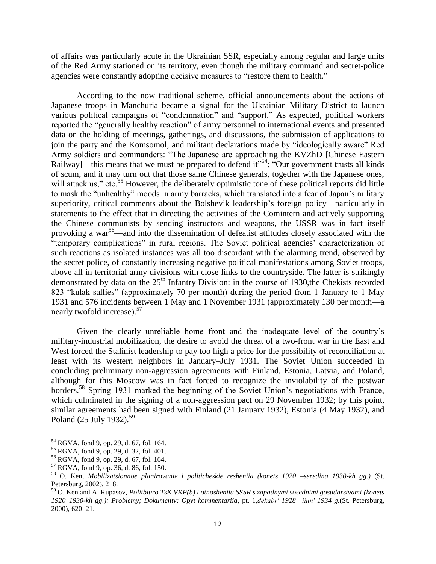of affairs was particularly acute in the Ukrainian SSR, especially among regular and large units of the Red Army stationed on its territory, even though the military command and secret-police agencies were constantly adopting decisive measures to "restore them to health."

According to the now traditional scheme, official announcements about the actions of Japanese troops in Manchuria became a signal for the Ukrainian Military District to launch various political campaigns of "condemnation" and "support." As expected, political workers reported the "generally healthy reaction" of army personnel to international events and presented data on the holding of meetings, gatherings, and discussions, the submission of applications to join the party and the Komsomol, and militant declarations made by "ideologically aware" Red Army soldiers and commanders: "The Japanese are approaching the KVZhD [Chinese Eastern Railway]—this means that we must be prepared to defend it<sup> $54$ </sup>; "Our government trusts all kinds of scum, and it may turn out that those same Chinese generals, together with the Japanese ones, will attack us," etc.<sup>55</sup> However, the deliberately optimistic tone of these political reports did little to mask the "unhealthy" moods in army barracks, which translated into a fear of Japan's military superiority, critical comments about the Bolshevik leadership's foreign policy—particularly in statements to the effect that in directing the activities of the Comintern and actively supporting the Chinese communists by sending instructors and weapons, the USSR was in fact itself provoking a war<sup>56</sup>—and into the dissemination of defeatist attitudes closely associated with the "temporary complications" in rural regions. The Soviet political agencies' characterization of such reactions as isolated instances was all too discordant with the alarming trend, observed by the secret police, of constantly increasing negative political manifestations among Soviet troops, above all in territorial army divisions with close links to the countryside. The latter is strikingly demonstrated by data on the 25<sup>th</sup> Infantry Division: in the course of 1930, the Chekists recorded 823 "kulak sallies" (approximately 70 per month) during the period from 1 January to 1 May 1931 and 576 incidents between 1 May and 1 November 1931 (approximately 130 per month—a nearly twofold increase).<sup>57</sup>

Given the clearly unreliable home front and the inadequate level of the country's military-industrial mobilization, the desire to avoid the threat of a two-front war in the East and West forced the Stalinist leadership to pay too high a price for the possibility of reconciliation at least with its western neighbors in January–July 1931. The Soviet Union succeeded in concluding preliminary non-aggression agreements with Finland, Estonia, Latvia, and Poland, although for this Moscow was in fact forced to recognize the inviolability of the postwar borders.<sup>58</sup> Spring 1931 marked the beginning of the Soviet Union's negotiations with France, which culminated in the signing of a non-aggression pact on 29 November 1932; by this point, similar agreements had been signed with Finland (21 January 1932), Estonia (4 May 1932), and Poland (25 July 1932).<sup>59</sup>

<sup>54</sup> RGVA, fond 9, op. 29, d. 67, fol. 164.

<sup>55</sup> RGVA, fond 9, op. 29, d. 32, fol. 401.

<sup>56</sup> RGVA, fond 9, op. 29, d. 67, fol. 164.

<sup>57</sup> RGVA, fond 9, op. 36, d. 86, fol. 150.

<sup>58</sup> O. Ken, *Mobilizatsionnoe planirovanie i politicheskie resheniia (konets 1920 –seredina 1930-kh gg.)* (St. Petersburg, 2002), 218.

<sup>59</sup> O. Ken and A. Rupasov, *Politbiuro TsK VKP(b) i otnosheniia SSSR s zapadnymi sosednimi gosudarstvami (konets 1920–1930-kh gg.): Problemy; Dokumenty; Opyt kommentariia*, pt. 1,*dekabr′ 1928 –iiun′ 1934 g.*(St. Petersburg, 2000), 620–21.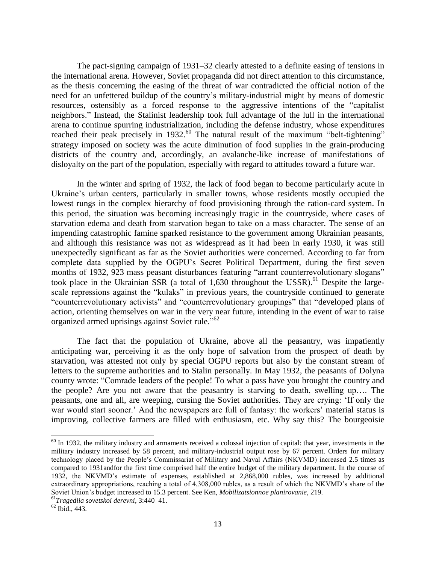The pact-signing campaign of 1931–32 clearly attested to a definite easing of tensions in the international arena. However, Soviet propaganda did not direct attention to this circumstance, as the thesis concerning the easing of the threat of war contradicted the official notion of the need for an unfettered buildup of the country's military-industrial might by means of domestic resources, ostensibly as a forced response to the aggressive intentions of the "capitalist neighbors." Instead, the Stalinist leadership took full advantage of the lull in the international arena to continue spurring industrialization, including the defense industry, whose expenditures reached their peak precisely in 1932.<sup>60</sup> The natural result of the maximum "belt-tightening" strategy imposed on society was the acute diminution of food supplies in the grain-producing districts of the country and, accordingly, an avalanche-like increase of manifestations of disloyalty on the part of the population, especially with regard to attitudes toward a future war.

In the winter and spring of 1932, the lack of food began to become particularly acute in Ukraine's urban centers, particularly in smaller towns, whose residents mostly occupied the lowest rungs in the complex hierarchy of food provisioning through the ration-card system. In this period, the situation was becoming increasingly tragic in the countryside, where cases of starvation edema and death from starvation began to take on a mass character. The sense of an impending catastrophic famine sparked resistance to the government among Ukrainian peasants, and although this resistance was not as widespread as it had been in early 1930, it was still unexpectedly significant as far as the Soviet authorities were concerned. According to far from complete data supplied by the OGPU's Secret Political Department, during the first seven months of 1932, 923 mass peasant disturbances featuring "arrant counterrevolutionary slogans" took place in the Ukrainian SSR (a total of 1,630 throughout the USSR).<sup>61</sup> Despite the largescale repressions against the "kulaks" in previous years, the countryside continued to generate "counterrevolutionary activists" and "counterrevolutionary groupings" that "developed plans of action, orienting themselves on war in the very near future, intending in the event of war to raise organized armed uprisings against Soviet rule."<sup>62</sup>

The fact that the population of Ukraine, above all the peasantry, was impatiently anticipating war, perceiving it as the only hope of salvation from the prospect of death by starvation, was attested not only by special OGPU reports but also by the constant stream of letters to the supreme authorities and to Stalin personally. In May 1932, the peasants of Dolyna county wrote: "Comrade leaders of the people! To what a pass have you brought the country and the people? Are you not aware that the peasantry is starving to death, swelling up…. The peasants, one and all, are weeping, cursing the Soviet authorities. They are crying: 'If only the war would start sooner.' And the newspapers are full of fantasy: the workers' material status is improving, collective farmers are filled with enthusiasm, etc. Why say this? The bourgeoisie

 $60$  In 1932, the military industry and armaments received a colossal injection of capital: that year, investments in the military industry increased by 58 percent, and military-industrial output rose by 67 percent. Orders for military technology placed by the People's Commissariat of Military and Naval Affairs (NKVMD) increased 2.5 times as compared to 1931andfor the first time comprised half the entire budget of the military department. In the course of 1932, the NKVMD's estimate of expenses, established at 2,868,000 rubles, was increased by additional extraordinary appropriations, reaching a total of 4,308,000 rubles, as a result of which the NKVMD's share of the Soviet Union's budget increased to 15.3 percent. See Ken, *Mobilizatsionnoe planirovanie*, 219.

<sup>61</sup>*Tragediia sovetskoi derevni*, 3:440–41.

<sup>62</sup> Ibid., 443.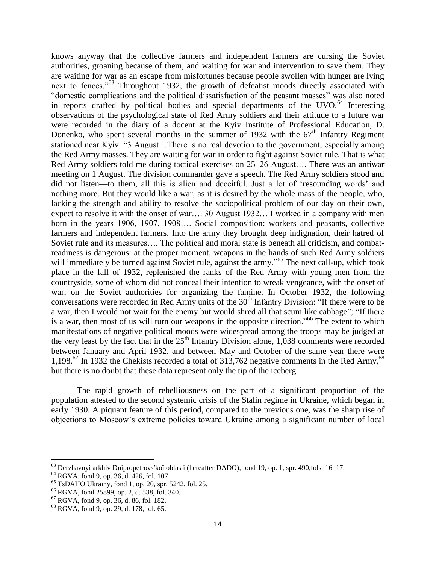knows anyway that the collective farmers and independent farmers are cursing the Soviet authorities, groaning because of them, and waiting for war and intervention to save them. They are waiting for war as an escape from misfortunes because people swollen with hunger are lying next to fences."<sup>63</sup> Throughout 1932, the growth of defeatist moods directly associated with "domestic complications and the political dissatisfaction of the peasant masses" was also noted in reports drafted by political bodies and special departments of the UVO. $^{64}$  Interesting observations of the psychological state of Red Army soldiers and their attitude to a future war were recorded in the diary of a docent at the Kyiv Institute of Professional Education, D. Donenko, who spent several months in the summer of 1932 with the  $67<sup>th</sup>$  Infantry Regiment stationed near Kyiv. "3 August…There is no real devotion to the government, especially among the Red Army masses. They are waiting for war in order to fight against Soviet rule. That is what Red Army soldiers told me during tactical exercises on 25–26 August…. There was an antiwar meeting on 1 August. The division commander gave a speech. The Red Army soldiers stood and did not listen—to them, all this is alien and deceitful. Just a lot of 'resounding words' and nothing more. But they would like a war, as it is desired by the whole mass of the people, who, lacking the strength and ability to resolve the sociopolitical problem of our day on their own, expect to resolve it with the onset of war…. 30 August 1932… I worked in a company with men born in the years 1906, 1907, 1908…. Social composition: workers and peasants, collective farmers and independent farmers. Into the army they brought deep indignation, their hatred of Soviet rule and its measures…. The political and moral state is beneath all criticism, and combatreadiness is dangerous: at the proper moment, weapons in the hands of such Red Army soldiers will immediately be turned against Soviet rule, against the army."<sup>65</sup> The next call-up, which took place in the fall of 1932, replenished the ranks of the Red Army with young men from the countryside, some of whom did not conceal their intention to wreak vengeance, with the onset of war, on the Soviet authorities for organizing the famine. In October 1932, the following conversations were recorded in Red Army units of the  $30<sup>th</sup>$  Infantry Division: "If there were to be a war, then I would not wait for the enemy but would shred all that scum like cabbage"; "If there is a war, then most of us will turn our weapons in the opposite direction."<sup>66</sup> The extent to which manifestations of negative political moods were widespread among the troops may be judged at the very least by the fact that in the  $25<sup>th</sup>$  Infantry Division alone, 1,038 comments were recorded between January and April 1932, and between May and October of the same year there were 1,198.<sup>67</sup> In 1932 the Chekists recorded a total of 313,762 negative comments in the Red Army,  $^{68}$ but there is no doubt that these data represent only the tip of the iceberg.

The rapid growth of rebelliousness on the part of a significant proportion of the population attested to the second systemic crisis of the Stalin regime in Ukraine, which began in early 1930. A piquant feature of this period, compared to the previous one, was the sharp rise of objections to Moscow's extreme policies toward Ukraine among a significant number of local

l

<sup>63</sup> Derzhavnyi arkhiv Dnipropetrovs′koï oblasti (hereafter DADO), fond 19, op. 1, spr. 490,fols. 16–17.

 $64$  RGVA, fond 9, op. 36, d. 426, fol. 107.

 $65$  TsDAHO Ukraïny, fond 1, op. 20, spr. 5242, fol. 25.

<sup>66</sup> RGVA, fond 25899, op. 2, d. 538, fol. 340.

 $67$  RGVA, fond 9, op. 36, d. 86, fol. 182.

<sup>68</sup> RGVA, fond 9, op. 29, d. 178, fol. 65.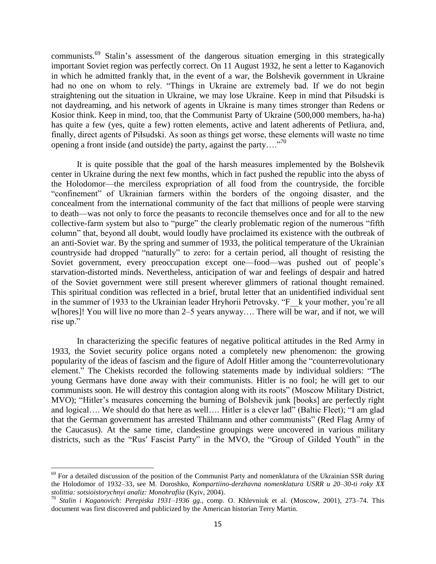communists.<sup>69</sup> Stalin's assessment of the dangerous situation emerging in this strategically important Soviet region was perfectly correct. On 11 August 1932, he sent a letter to Kaganovich in which he admitted frankly that, in the event of a war, the Bolshevik government in Ukraine had no one on whom to rely. "Things in Ukraine are extremely bad. If we do not begin straightening out the situation in Ukraine, we may lose Ukraine. Keep in mind that Piłsudski is not daydreaming, and his network of agents in Ukraine is many times stronger than Redens or Kosior think. Keep in mind, too, that the Communist Party of Ukraine (500,000 members, ha-ha) has quite a few (yes, quite a few) rotten elements, active and latent adherents of Petliura, and, finally, direct agents of Piłsudski. As soon as things get worse, these elements will waste no time opening a front inside (and outside) the party, against the party...."<sup>70</sup>

It is quite possible that the goal of the harsh measures implemented by the Bolshevik center in Ukraine during the next few months, which in fact pushed the republic into the abyss of the Holodomor—the merciless expropriation of all food from the countryside, the forcible "confinement" of Ukrainian farmers within the borders of the ongoing disaster, and the concealment from the international community of the fact that millions of people were starving to death—was not only to force the peasants to reconcile themselves once and for all to the new collective-farm system but also to "purge" the clearly problematic region of the numerous "fifth column" that, beyond all doubt, would loudly have proclaimed its existence with the outbreak of an anti-Soviet war. By the spring and summer of 1933, the political temperature of the Ukrainian countryside had dropped "naturally" to zero: for a certain period, all thought of resisting the Soviet government, every preoccupation except one—food—was pushed out of people's starvation-distorted minds. Nevertheless, anticipation of war and feelings of despair and hatred of the Soviet government were still present wherever glimmers of rational thought remained. This spiritual condition was reflected in a brief, brutal letter that an unidentified individual sent in the summer of 1933 to the Ukrainian leader Hryhorii Petrovsky. "F\_k your mother, you're all w[hores]! You will live no more than 2–5 years anyway…. There will be war, and if not, we will rise up."

In characterizing the specific features of negative political attitudes in the Red Army in 1933, the Soviet security police organs noted a completely new phenomenon: the growing popularity of the ideas of fascism and the figure of Adolf Hitler among the "counterrevolutionary element." The Chekists recorded the following statements made by individual soldiers: "The young Germans have done away with their communists. Hitler is no fool; he will get to our communists soon. He will destroy this contagion along with its roots" (Moscow Military District, MVO); "Hitler's measures concerning the burning of Bolshevik junk [books] are perfectly right and logical…. We should do that here as well…. Hitler is a clever lad" (Baltic Fleet); "I am glad that the German government has arrested Thälmann and other communists" (Red Flag Army of the Caucasus). At the same time, clandestine groupings were uncovered in various military districts, such as the "Rus′ Fascist Party" in the MVO, the "Group of Gilded Youth" in the

 $\overline{a}$ 

 $69$  For a detailed discussion of the position of the Communist Party and nomenklatura of the Ukrainian SSR during the Holodomor of 1932–33, see M. Doroshko, *Kompartiino-derzhavna nomenklatura USRR u 20–30-ti roky XX stolittia: sotsioistorychnyi analiz: Monohrafiia* (Kyiv, 2004).

<sup>70</sup> *Stalin i Kaganovich: Perepiska 1931–1936 gg.*, comp. O. Khlevniuk et al. (Moscow, 2001), 273–74. This document was first discovered and publicized by the American historian Terry Martin.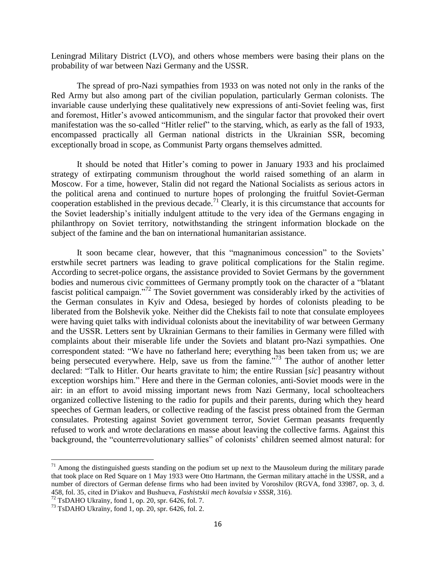Leningrad Military District (LVO), and others whose members were basing their plans on the probability of war between Nazi Germany and the USSR.

The spread of pro-Nazi sympathies from 1933 on was noted not only in the ranks of the Red Army but also among part of the civilian population, particularly German colonists. The invariable cause underlying these qualitatively new expressions of anti-Soviet feeling was, first and foremost, Hitler's avowed anticommunism, and the singular factor that provoked their overt manifestation was the so-called "Hitler relief" to the starving, which, as early as the fall of 1933, encompassed practically all German national districts in the Ukrainian SSR, becoming exceptionally broad in scope, as Communist Party organs themselves admitted.

It should be noted that Hitler's coming to power in January 1933 and his proclaimed strategy of extirpating communism throughout the world raised something of an alarm in Moscow. For a time, however, Stalin did not regard the National Socialists as serious actors in the political arena and continued to nurture hopes of prolonging the fruitful Soviet-German cooperation established in the previous decade.<sup>71</sup> Clearly, it is this circumstance that accounts for the Soviet leadership's initially indulgent attitude to the very idea of the Germans engaging in philanthropy on Soviet territory, notwithstanding the stringent information blockade on the subject of the famine and the ban on international humanitarian assistance.

It soon became clear, however, that this "magnanimous concession" to the Soviets' erstwhile secret partners was leading to grave political complications for the Stalin regime. According to secret-police organs, the assistance provided to Soviet Germans by the government bodies and numerous civic committees of Germany promptly took on the character of a "blatant fascist political campaign."<sup>72</sup> The Soviet government was considerably irked by the activities of the German consulates in Kyiv and Odesa, besieged by hordes of colonists pleading to be liberated from the Bolshevik yoke. Neither did the Chekists fail to note that consulate employees were having quiet talks with individual colonists about the inevitability of war between Germany and the USSR. Letters sent by Ukrainian Germans to their families in Germany were filled with complaints about their miserable life under the Soviets and blatant pro-Nazi sympathies. One correspondent stated: "We have no fatherland here; everything has been taken from us; we are being persecuted everywhere. Help, save us from the famine.<sup>73</sup> The author of another letter declared: "Talk to Hitler. Our hearts gravitate to him; the entire Russian [*sic*] peasantry without exception worships him." Here and there in the German colonies, anti-Soviet moods were in the air: in an effort to avoid missing important news from Nazi Germany, local schoolteachers organized collective listening to the radio for pupils and their parents, during which they heard speeches of German leaders, or collective reading of the fascist press obtained from the German consulates. Protesting against Soviet government terror, Soviet German peasants frequently refused to work and wrote declarations en masse about leaving the collective farms. Against this background, the "counterrevolutionary sallies" of colonists' children seemed almost natural: for

l

 $71$  Among the distinguished guests standing on the podium set up next to the Mausoleum during the military parade that took place on Red Square on 1 May 1933 were Otto Hartmann, the German military attaché in the USSR, and a number of directors of German defense firms who had been invited by Voroshilov (RGVA, fond 33987, op. 3, d. 458, fol. 35, cited in D′iakov and Bushueva, *Fashistskii mech kovalsia v SSSR*, 316).

 $72$  TsDAHO Ukraïny, fond 1, op. 20, spr. 6426, fol. 7.

 $^{73}$  TsDAHO Ukraïny, fond 1, op. 20, spr. 6426, fol. 2.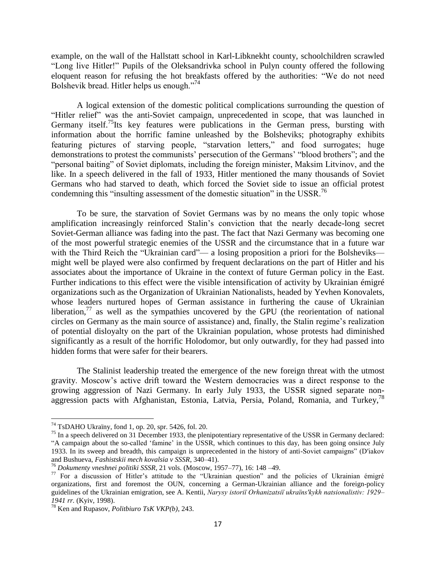example, on the wall of the Hallstatt school in Karl-Libknekht county, schoolchildren scrawled "Long live Hitler!" Pupils of the Oleksandrivka school in Pulyn county offered the following eloquent reason for refusing the hot breakfasts offered by the authorities: "We do not need Bolshevik bread. Hitler helps us enough."<sup>74</sup>

A logical extension of the domestic political complications surrounding the question of "Hitler relief" was the anti-Soviet campaign, unprecedented in scope, that was launched in Germany itself.<sup>75</sup>Its key features were publications in the German press, bursting with information about the horrific famine unleashed by the Bolsheviks; photography exhibits featuring pictures of starving people, "starvation letters," and food surrogates; huge demonstrations to protest the communists' persecution of the Germans' "blood brothers"; and the "personal baiting" of Soviet diplomats, including the foreign minister, Maksim Litvinov, and the like. In a speech delivered in the fall of 1933, Hitler mentioned the many thousands of Soviet Germans who had starved to death, which forced the Soviet side to issue an official protest condemning this "insulting assessment of the domestic situation" in the USSR.<sup>76</sup>

To be sure, the starvation of Soviet Germans was by no means the only topic whose amplification increasingly reinforced Stalin's conviction that the nearly decade-long secret Soviet-German alliance was fading into the past. The fact that Nazi Germany was becoming one of the most powerful strategic enemies of the USSR and the circumstance that in a future war with the Third Reich the "Ukrainian card"— a losing proposition a priori for the Bolsheviks might well be played were also confirmed by frequent declarations on the part of Hitler and his associates about the importance of Ukraine in the context of future German policy in the East. Further indications to this effect were the visible intensification of activity by Ukrainian émigré organizations such as the Organization of Ukrainian Nationalists, headed by Yevhen Konovalets, whose leaders nurtured hopes of German assistance in furthering the cause of Ukrainian liberation, $^{77}$  as well as the sympathies uncovered by the GPU (the reorientation of national circles on Germany as the main source of assistance) and, finally, the Stalin regime's realization of potential disloyalty on the part of the Ukrainian population, whose protests had diminished significantly as a result of the horrific Holodomor, but only outwardly, for they had passed into hidden forms that were safer for their bearers.

The Stalinist leadership treated the emergence of the new foreign threat with the utmost gravity. Moscow's active drift toward the Western democracies was a direct response to the growing aggression of Nazi Germany. In early July 1933, the USSR signed separate nonaggression pacts with Afghanistan, Estonia, Latvia, Persia, Poland, Romania, and Turkey,<sup>78</sup>

 $\overline{\phantom{a}}$ <sup>74</sup> TsDAHO Ukraïny, fond 1, op. 20, spr. 5426, fol. 20.

<sup>&</sup>lt;sup>75</sup> In a speech delivered on 31 December 1933, the plenipotentiary representative of the USSR in Germany declared: "A campaign about the so-called 'famine' in the USSR, which continues to this day, has been going onsince July 1933. In its sweep and breadth, this campaign is unprecedented in the history of anti-Soviet campaigns" (D′iakov and Bushueva, *Fashistskii mech kovalsia v SSSR*, 340–41).

<sup>76</sup> *Dokumenty vneshnei politiki SSSR*, 21 vols. (Moscow, 1957–77), 16: 148 –49.

<sup>77</sup> For a discussion of Hitler's attitude to the "Ukrainian question" and the policies of Ukrainian émigré organizations, first and foremost the OUN, concerning a German-Ukrainian alliance and the foreign-policy guidelines of the Ukrainian emigration, see A. Kentii, *Narysy istoriï Orhanizatsiï ukraïns′kykh natsionalistiv: 1929– 1941 rr.* (Kyiv, 1998).

<sup>78</sup> Ken and Rupasov, *Politbiuro TsK VKP(b)*, 243.